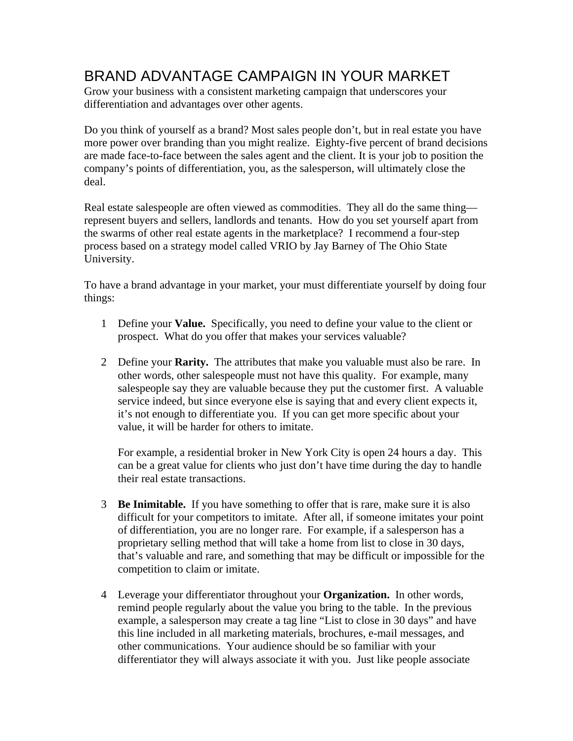## BRAND ADVANTAGE CAMPAIGN IN YOUR MARKET

Grow your business with a consistent marketing campaign that underscores your differentiation and advantages over other agents.

Do you think of yourself as a brand? Most sales people don't, but in real estate you have more power over branding than you might realize. Eighty-five percent of brand decisions are made face-to-face between the sales agent and the client. It is your job to position the company's points of differentiation, you, as the salesperson, will ultimately close the deal.

Real estate salespeople are often viewed as commodities. They all do the same thing represent buyers and sellers, landlords and tenants. How do you set yourself apart from the swarms of other real estate agents in the marketplace? I recommend a four-step process based on a strategy model called VRIO by Jay Barney of The Ohio State University.

To have a brand advantage in your market, your must differentiate yourself by doing four things:

- 1 Define your **Value.** Specifically, you need to define your value to the client or prospect. What do you offer that makes your services valuable?
- 2 Define your **Rarity.** The attributes that make you valuable must also be rare. In other words, other salespeople must not have this quality. For example, many salespeople say they are valuable because they put the customer first. A valuable service indeed, but since everyone else is saying that and every client expects it, it's not enough to differentiate you. If you can get more specific about your value, it will be harder for others to imitate.

For example, a residential broker in New York City is open 24 hours a day. This can be a great value for clients who just don't have time during the day to handle their real estate transactions.

- 3 **Be Inimitable.** If you have something to offer that is rare, make sure it is also difficult for your competitors to imitate. After all, if someone imitates your point of differentiation, you are no longer rare. For example, if a salesperson has a proprietary selling method that will take a home from list to close in 30 days, that's valuable and rare, and something that may be difficult or impossible for the competition to claim or imitate.
- 4 Leverage your differentiator throughout your **Organization.** In other words, remind people regularly about the value you bring to the table. In the previous example, a salesperson may create a tag line "List to close in 30 days" and have this line included in all marketing materials, brochures, e-mail messages, and other communications. Your audience should be so familiar with your differentiator they will always associate it with you. Just like people associate